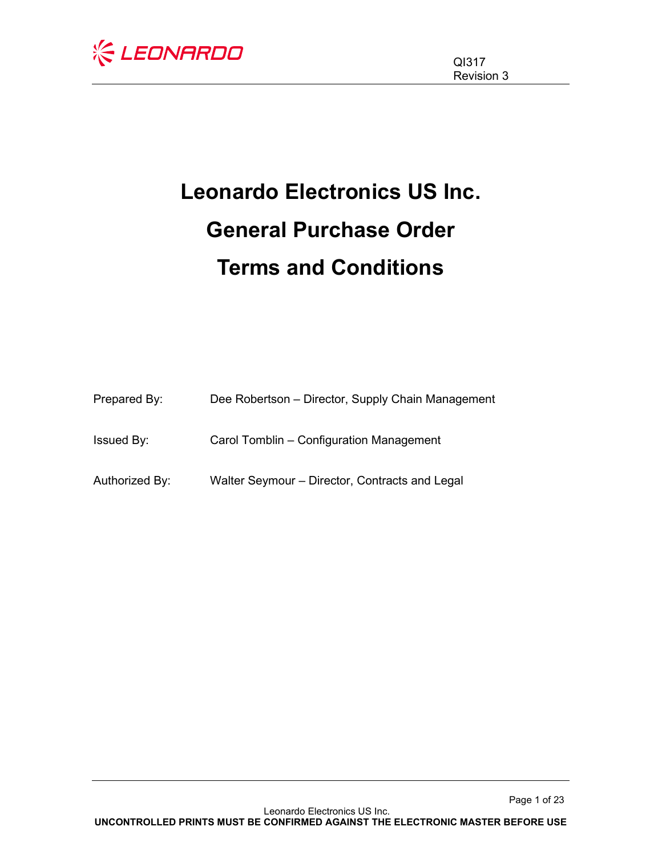

# **Leonardo Electronics US Inc. General Purchase Order Terms and Conditions**

| Prepared By:      | Dee Robertson - Director, Supply Chain Management |
|-------------------|---------------------------------------------------|
| <b>Issued By:</b> | Carol Tomblin – Configuration Management          |
| Authorized By:    | Walter Seymour – Director, Contracts and Legal    |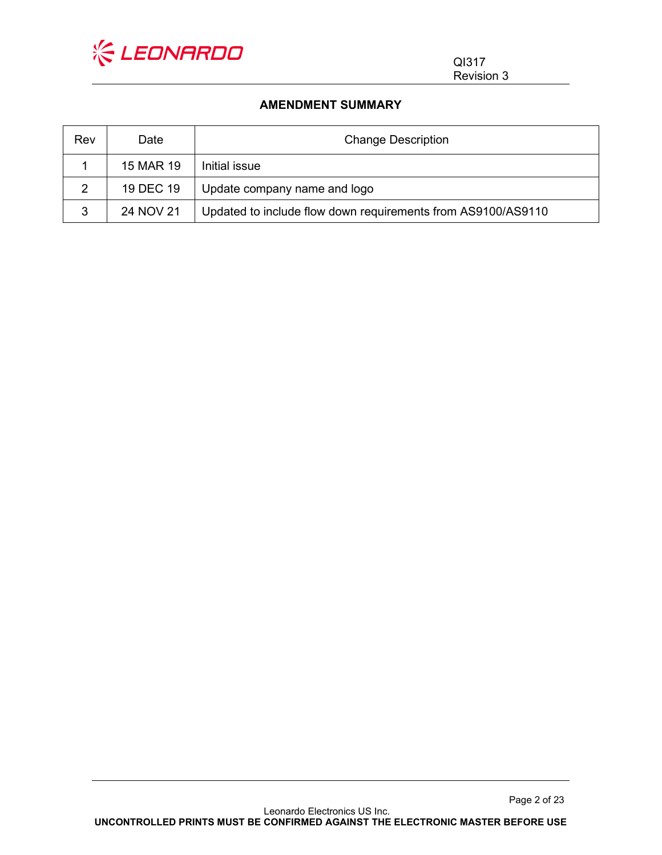

QI317 Revision 3

#### **AMENDMENT SUMMARY**

| Rev | Date      | <b>Change Description</b>                                    |  |
|-----|-----------|--------------------------------------------------------------|--|
|     | 15 MAR 19 | Initial issue                                                |  |
| 2   | 19 DEC 19 | Update company name and logo                                 |  |
| 3   | 24 NOV 21 | Updated to include flow down requirements from AS9100/AS9110 |  |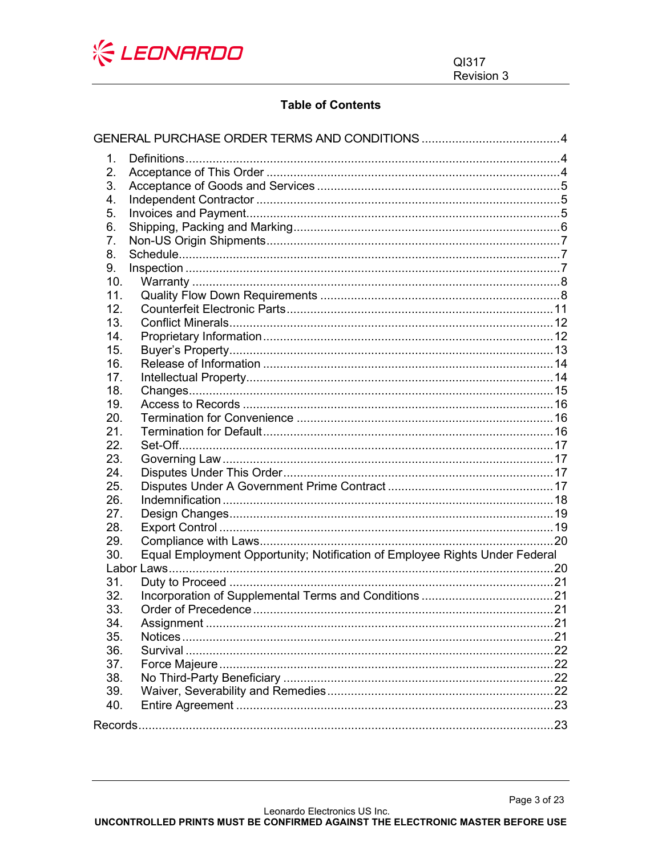

# **Table of Contents**

| 1.         |                                                                             |  |
|------------|-----------------------------------------------------------------------------|--|
| 2.         |                                                                             |  |
| 3.         |                                                                             |  |
| 4.         |                                                                             |  |
| 5.         |                                                                             |  |
| 6.         |                                                                             |  |
| 7.         |                                                                             |  |
| 8.         |                                                                             |  |
| 9.         |                                                                             |  |
| 10.        |                                                                             |  |
| 11.        |                                                                             |  |
| 12.        |                                                                             |  |
| 13.        |                                                                             |  |
| 14.        |                                                                             |  |
| 15.        |                                                                             |  |
| 16.        |                                                                             |  |
| 17.        |                                                                             |  |
| 18.        |                                                                             |  |
| 19.        |                                                                             |  |
| 20.        |                                                                             |  |
| 21.        |                                                                             |  |
| 22.        |                                                                             |  |
| 23.        |                                                                             |  |
| 24.        |                                                                             |  |
| 25.        |                                                                             |  |
| 26.        |                                                                             |  |
| 27.        |                                                                             |  |
| 28.        |                                                                             |  |
| 29.        |                                                                             |  |
| 30.        | Equal Employment Opportunity; Notification of Employee Rights Under Federal |  |
|            |                                                                             |  |
| 31.        |                                                                             |  |
| 32.        |                                                                             |  |
| 33.        |                                                                             |  |
| 34.<br>35. |                                                                             |  |
|            |                                                                             |  |
| 36.<br>37. |                                                                             |  |
| 38.        |                                                                             |  |
| 39.        |                                                                             |  |
| 40.        |                                                                             |  |
|            |                                                                             |  |
|            |                                                                             |  |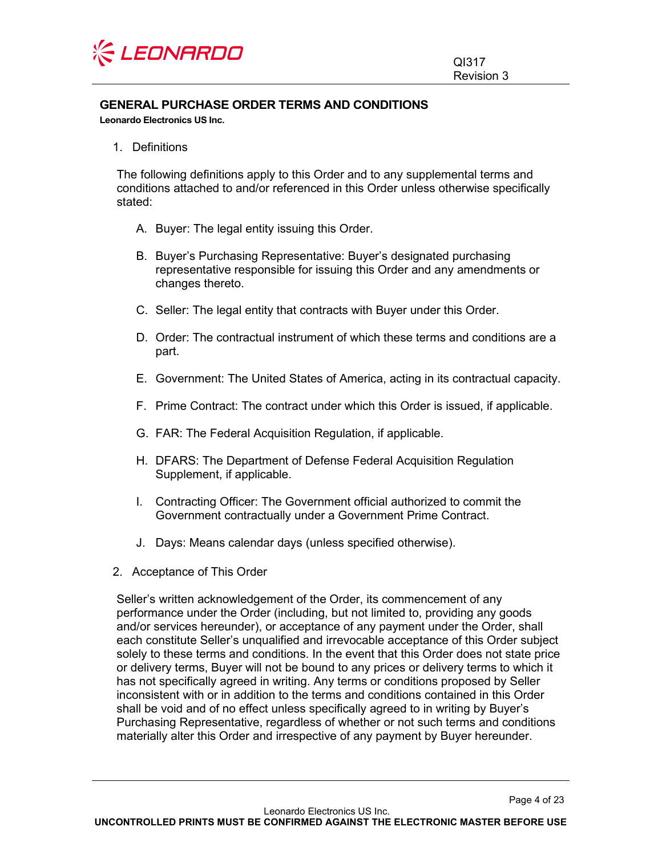

# <span id="page-3-0"></span>**GENERAL PURCHASE ORDER TERMS AND CONDITIONS**

**Leonardo Electronics US Inc.**

<span id="page-3-1"></span>1. Definitions

The following definitions apply to this Order and to any supplemental terms and conditions attached to and/or referenced in this Order unless otherwise specifically stated:

- A. Buyer: The legal entity issuing this Order.
- B. Buyer's Purchasing Representative: Buyer's designated purchasing representative responsible for issuing this Order and any amendments or changes thereto.
- C. Seller: The legal entity that contracts with Buyer under this Order.
- D. Order: The contractual instrument of which these terms and conditions are a part.
- E. Government: The United States of America, acting in its contractual capacity.
- F. Prime Contract: The contract under which this Order is issued, if applicable.
- G. FAR: The Federal Acquisition Regulation, if applicable.
- H. DFARS: The Department of Defense Federal Acquisition Regulation Supplement, if applicable.
- I. Contracting Officer: The Government official authorized to commit the Government contractually under a Government Prime Contract.
- J. Days: Means calendar days (unless specified otherwise).
- <span id="page-3-2"></span>2. Acceptance of This Order

Seller's written acknowledgement of the Order, its commencement of any performance under the Order (including, but not limited to, providing any goods and/or services hereunder), or acceptance of any payment under the Order, shall each constitute Seller's unqualified and irrevocable acceptance of this Order subject solely to these terms and conditions. In the event that this Order does not state price or delivery terms, Buyer will not be bound to any prices or delivery terms to which it has not specifically agreed in writing. Any terms or conditions proposed by Seller inconsistent with or in addition to the terms and conditions contained in this Order shall be void and of no effect unless specifically agreed to in writing by Buyer's Purchasing Representative, regardless of whether or not such terms and conditions materially alter this Order and irrespective of any payment by Buyer hereunder.

Page 4 of 23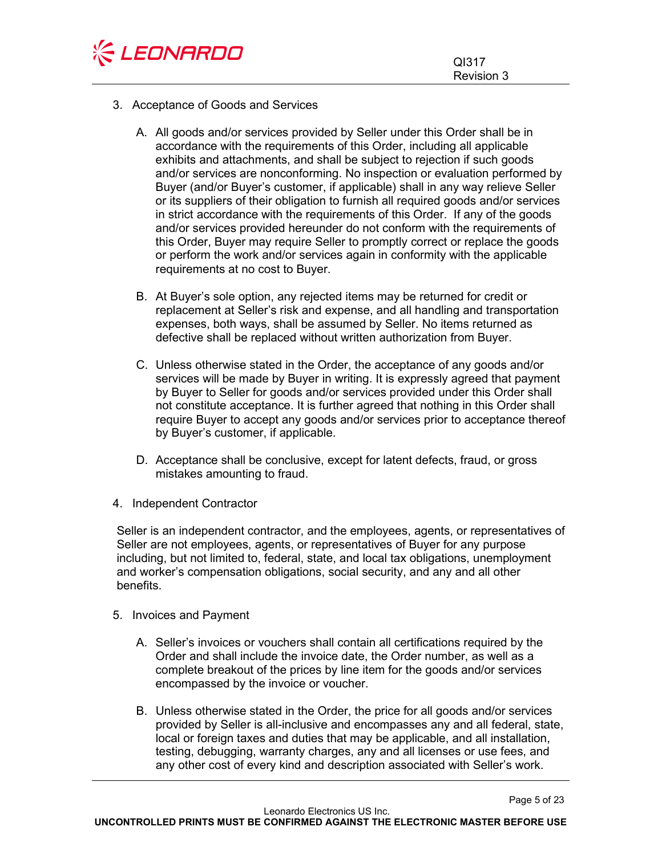

- <span id="page-4-0"></span>3. Acceptance of Goods and Services
	- A. All goods and/or services provided by Seller under this Order shall be in accordance with the requirements of this Order, including all applicable exhibits and attachments, and shall be subject to rejection if such goods and/or services are nonconforming. No inspection or evaluation performed by Buyer (and/or Buyer's customer, if applicable) shall in any way relieve Seller or its suppliers of their obligation to furnish all required goods and/or services in strict accordance with the requirements of this Order. If any of the goods and/or services provided hereunder do not conform with the requirements of this Order, Buyer may require Seller to promptly correct or replace the goods or perform the work and/or services again in conformity with the applicable requirements at no cost to Buyer.
	- B. At Buyer's sole option, any rejected items may be returned for credit or replacement at Seller's risk and expense, and all handling and transportation expenses, both ways, shall be assumed by Seller. No items returned as defective shall be replaced without written authorization from Buyer.
	- C. Unless otherwise stated in the Order, the acceptance of any goods and/or services will be made by Buyer in writing. It is expressly agreed that payment by Buyer to Seller for goods and/or services provided under this Order shall not constitute acceptance. It is further agreed that nothing in this Order shall require Buyer to accept any goods and/or services prior to acceptance thereof by Buyer's customer, if applicable.
	- D. Acceptance shall be conclusive, except for latent defects, fraud, or gross mistakes amounting to fraud.
- <span id="page-4-1"></span>4. Independent Contractor

Seller is an independent contractor, and the employees, agents, or representatives of Seller are not employees, agents, or representatives of Buyer for any purpose including, but not limited to, federal, state, and local tax obligations, unemployment and worker's compensation obligations, social security, and any and all other benefits.

- <span id="page-4-2"></span>5. Invoices and Payment
	- A. Seller's invoices or vouchers shall contain all certifications required by the Order and shall include the invoice date, the Order number, as well as a complete breakout of the prices by line item for the goods and/or services encompassed by the invoice or voucher.
	- B. Unless otherwise stated in the Order, the price for all goods and/or services provided by Seller is all-inclusive and encompasses any and all federal, state, local or foreign taxes and duties that may be applicable, and all installation, testing, debugging, warranty charges, any and all licenses or use fees, and any other cost of every kind and description associated with Seller's work.

Page 5 of 23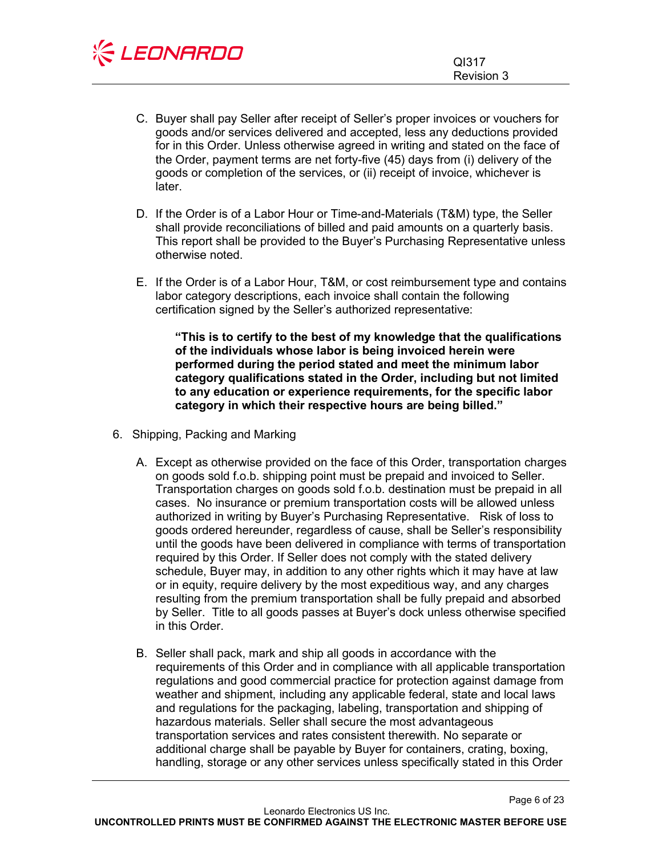

Page 6 of 23

- C. Buyer shall pay Seller after receipt of Seller's proper invoices or vouchers for goods and/or services delivered and accepted, less any deductions provided for in this Order. Unless otherwise agreed in writing and stated on the face of the Order, payment terms are net forty-five (45) days from (i) delivery of the goods or completion of the services, or (ii) receipt of invoice, whichever is later.
- D. If the Order is of a Labor Hour or Time-and-Materials (T&M) type, the Seller shall provide reconciliations of billed and paid amounts on a quarterly basis. This report shall be provided to the Buyer's Purchasing Representative unless otherwise noted.
- E. If the Order is of a Labor Hour, T&M, or cost reimbursement type and contains labor category descriptions, each invoice shall contain the following certification signed by the Seller's authorized representative:

**"This is to certify to the best of my knowledge that the qualifications of the individuals whose labor is being invoiced herein were performed during the period stated and meet the minimum labor category qualifications stated in the Order, including but not limited to any education or experience requirements, for the specific labor category in which their respective hours are being billed."**

- <span id="page-5-0"></span>6. Shipping, Packing and Marking
	- A. Except as otherwise provided on the face of this Order, transportation charges on goods sold f.o.b. shipping point must be prepaid and invoiced to Seller. Transportation charges on goods sold f.o.b. destination must be prepaid in all cases. No insurance or premium transportation costs will be allowed unless authorized in writing by Buyer's Purchasing Representative. Risk of loss to goods ordered hereunder, regardless of cause, shall be Seller's responsibility until the goods have been delivered in compliance with terms of transportation required by this Order. If Seller does not comply with the stated delivery schedule, Buyer may, in addition to any other rights which it may have at law or in equity, require delivery by the most expeditious way, and any charges resulting from the premium transportation shall be fully prepaid and absorbed by Seller. Title to all goods passes at Buyer's dock unless otherwise specified in this Order.
	- B. Seller shall pack, mark and ship all goods in accordance with the requirements of this Order and in compliance with all applicable transportation regulations and good commercial practice for protection against damage from weather and shipment, including any applicable federal, state and local laws and regulations for the packaging, labeling, transportation and shipping of hazardous materials. Seller shall secure the most advantageous transportation services and rates consistent therewith. No separate or additional charge shall be payable by Buyer for containers, crating, boxing, handling, storage or any other services unless specifically stated in this Order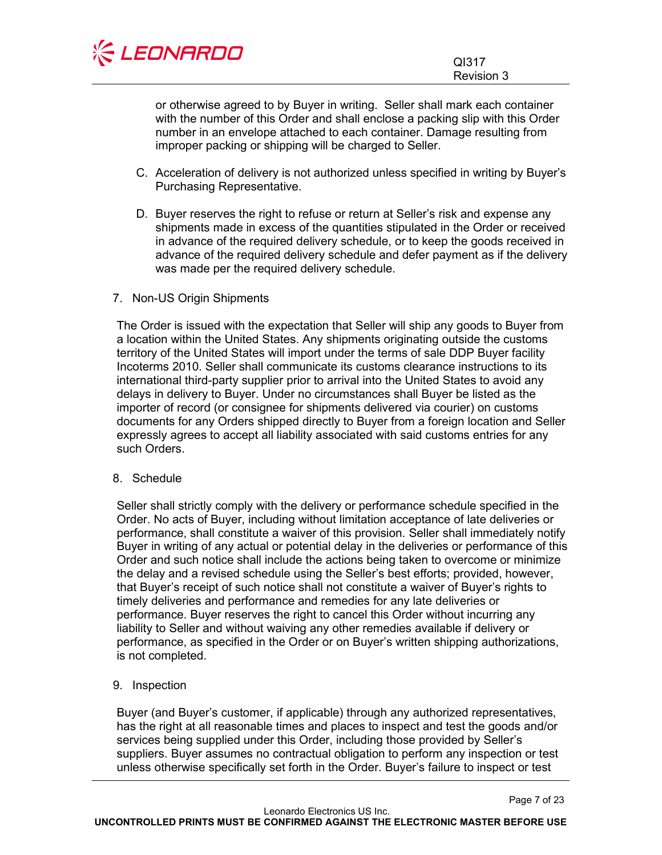

or otherwise agreed to by Buyer in writing. Seller shall mark each container with the number of this Order and shall enclose a packing slip with this Order number in an envelope attached to each container. Damage resulting from improper packing or shipping will be charged to Seller.

- C. Acceleration of delivery is not authorized unless specified in writing by Buyer's Purchasing Representative.
- D. Buyer reserves the right to refuse or return at Seller's risk and expense any shipments made in excess of the quantities stipulated in the Order or received in advance of the required delivery schedule, or to keep the goods received in advance of the required delivery schedule and defer payment as if the delivery was made per the required delivery schedule.

# <span id="page-6-0"></span>7. Non-US Origin Shipments

The Order is issued with the expectation that Seller will ship any goods to Buyer from a location within the United States. Any shipments originating outside the customs territory of the United States will import under the terms of sale DDP Buyer facility Incoterms 2010. Seller shall communicate its customs clearance instructions to its international third-party supplier prior to arrival into the United States to avoid any delays in delivery to Buyer. Under no circumstances shall Buyer be listed as the importer of record (or consignee for shipments delivered via courier) on customs documents for any Orders shipped directly to Buyer from a foreign location and Seller expressly agrees to accept all liability associated with said customs entries for any such Orders.

#### <span id="page-6-1"></span>8. Schedule

Seller shall strictly comply with the delivery or performance schedule specified in the Order. No acts of Buyer, including without limitation acceptance of late deliveries or performance, shall constitute a waiver of this provision. Seller shall immediately notify Buyer in writing of any actual or potential delay in the deliveries or performance of this Order and such notice shall include the actions being taken to overcome or minimize the delay and a revised schedule using the Seller's best efforts; provided, however, that Buyer's receipt of such notice shall not constitute a waiver of Buyer's rights to timely deliveries and performance and remedies for any late deliveries or performance. Buyer reserves the right to cancel this Order without incurring any liability to Seller and without waiving any other remedies available if delivery or performance, as specified in the Order or on Buyer's written shipping authorizations, is not completed.

# <span id="page-6-2"></span>9. Inspection

Buyer (and Buyer's customer, if applicable) through any authorized representatives, has the right at all reasonable times and places to inspect and test the goods and/or services being supplied under this Order, including those provided by Seller's suppliers. Buyer assumes no contractual obligation to perform any inspection or test unless otherwise specifically set forth in the Order. Buyer's failure to inspect or test

Page 7 of 23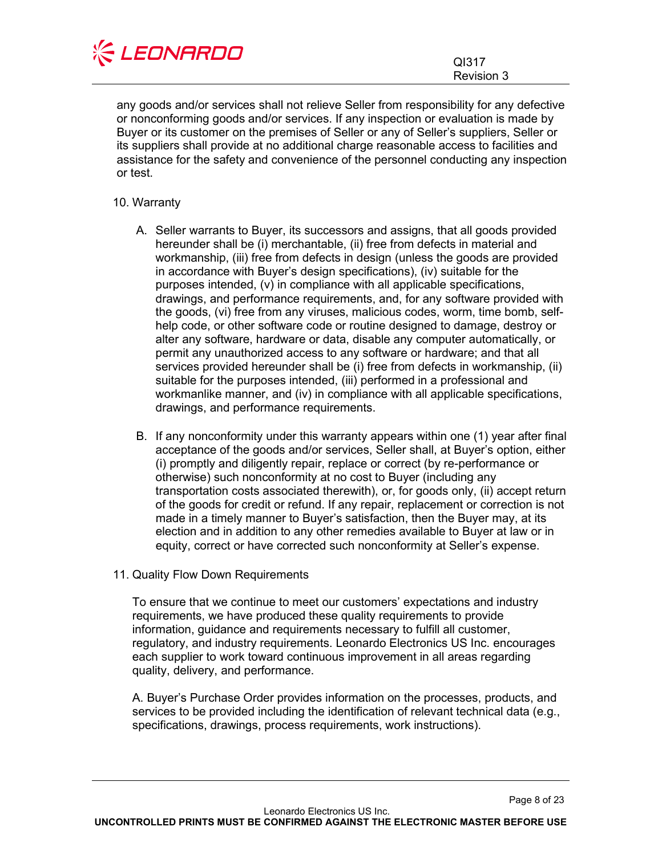

any goods and/or services shall not relieve Seller from responsibility for any defective or nonconforming goods and/or services. If any inspection or evaluation is made by Buyer or its customer on the premises of Seller or any of Seller's suppliers, Seller or its suppliers shall provide at no additional charge reasonable access to facilities and assistance for the safety and convenience of the personnel conducting any inspection or test.

# <span id="page-7-0"></span>10. Warranty

- A. Seller warrants to Buyer, its successors and assigns, that all goods provided hereunder shall be (i) merchantable, (ii) free from defects in material and workmanship, (iii) free from defects in design (unless the goods are provided in accordance with Buyer's design specifications), (iv) suitable for the purposes intended, (v) in compliance with all applicable specifications, drawings, and performance requirements, and, for any software provided with the goods, (vi) free from any viruses, malicious codes, worm, time bomb, selfhelp code, or other software code or routine designed to damage, destroy or alter any software, hardware or data, disable any computer automatically, or permit any unauthorized access to any software or hardware; and that all services provided hereunder shall be (i) free from defects in workmanship, (ii) suitable for the purposes intended, (iii) performed in a professional and workmanlike manner, and (iv) in compliance with all applicable specifications, drawings, and performance requirements.
- B. If any nonconformity under this warranty appears within one (1) year after final acceptance of the goods and/or services, Seller shall, at Buyer's option, either (i) promptly and diligently repair, replace or correct (by re-performance or otherwise) such nonconformity at no cost to Buyer (including any transportation costs associated therewith), or, for goods only, (ii) accept return of the goods for credit or refund. If any repair, replacement or correction is not made in a timely manner to Buyer's satisfaction, then the Buyer may, at its election and in addition to any other remedies available to Buyer at law or in equity, correct or have corrected such nonconformity at Seller's expense.
- <span id="page-7-1"></span>11. Quality Flow Down Requirements

To ensure that we continue to meet our customers' expectations and industry requirements, we have produced these quality requirements to provide information, guidance and requirements necessary to fulfill all customer, regulatory, and industry requirements. Leonardo Electronics US Inc. encourages each supplier to work toward continuous improvement in all areas regarding quality, delivery, and performance.

A. Buyer's Purchase Order provides information on the processes, products, and services to be provided including the identification of relevant technical data (e.g., specifications, drawings, process requirements, work instructions).

Page 8 of 23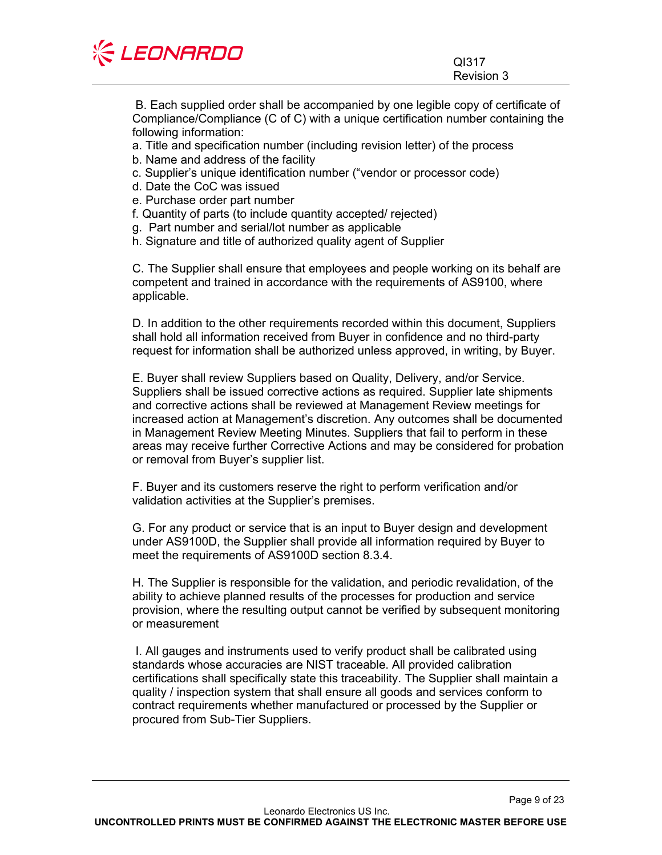| <b>KEONARDO</b> |            |  |
|-----------------|------------|--|
|                 | QI317      |  |
|                 | Revision 3 |  |

B. Each supplied order shall be accompanied by one legible copy of certificate of Compliance/Compliance (C of C) with a unique certification number containing the following information:

- a. Title and specification number (including revision letter) of the process
- b. Name and address of the facility
- c. Supplier's unique identification number ("vendor or processor code)
- d. Date the CoC was issued
- e. Purchase order part number
- f. Quantity of parts (to include quantity accepted/ rejected)
- g. Part number and serial/lot number as applicable
- h. Signature and title of authorized quality agent of Supplier

C. The Supplier shall ensure that employees and people working on its behalf are competent and trained in accordance with the requirements of AS9100, where applicable.

D. In addition to the other requirements recorded within this document, Suppliers shall hold all information received from Buyer in confidence and no third-party request for information shall be authorized unless approved, in writing, by Buyer.

E. Buyer shall review Suppliers based on Quality, Delivery, and/or Service. Suppliers shall be issued corrective actions as required. Supplier late shipments and corrective actions shall be reviewed at Management Review meetings for increased action at Management's discretion. Any outcomes shall be documented in Management Review Meeting Minutes. Suppliers that fail to perform in these areas may receive further Corrective Actions and may be considered for probation or removal from Buyer's supplier list.

F. Buyer and its customers reserve the right to perform verification and/or validation activities at the Supplier's premises.

G. For any product or service that is an input to Buyer design and development under AS9100D, the Supplier shall provide all information required by Buyer to meet the requirements of AS9100D section 8.3.4.

H. The Supplier is responsible for the validation, and periodic revalidation, of the ability to achieve planned results of the processes for production and service provision, where the resulting output cannot be verified by subsequent monitoring or measurement

I. All gauges and instruments used to verify product shall be calibrated using standards whose accuracies are NIST traceable. All provided calibration certifications shall specifically state this traceability. The Supplier shall maintain a quality / inspection system that shall ensure all goods and services conform to contract requirements whether manufactured or processed by the Supplier or procured from Sub-Tier Suppliers.

Page 9 of 23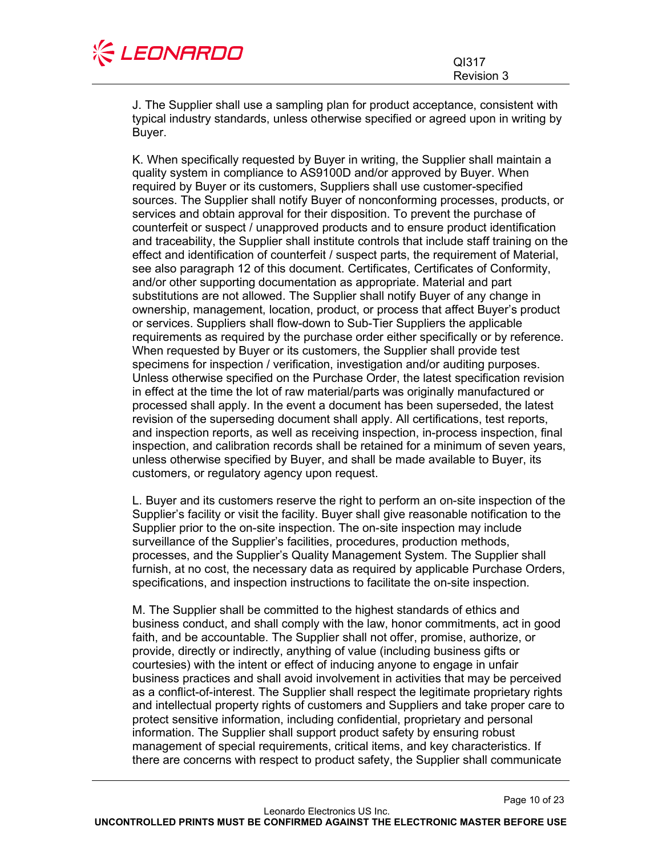

Page 10 of 23

J. The Supplier shall use a sampling plan for product acceptance, consistent with typical industry standards, unless otherwise specified or agreed upon in writing by Buyer.

K. When specifically requested by Buyer in writing, the Supplier shall maintain a quality system in compliance to AS9100D and/or approved by Buyer. When required by Buyer or its customers, Suppliers shall use customer-specified sources. The Supplier shall notify Buyer of nonconforming processes, products, or services and obtain approval for their disposition. To prevent the purchase of counterfeit or suspect / unapproved products and to ensure product identification and traceability, the Supplier shall institute controls that include staff training on the effect and identification of counterfeit / suspect parts, the requirement of Material, see also paragraph 12 of this document. Certificates, Certificates of Conformity, and/or other supporting documentation as appropriate. Material and part substitutions are not allowed. The Supplier shall notify Buyer of any change in ownership, management, location, product, or process that affect Buyer's product or services. Suppliers shall flow-down to Sub-Tier Suppliers the applicable requirements as required by the purchase order either specifically or by reference. When requested by Buyer or its customers, the Supplier shall provide test specimens for inspection / verification, investigation and/or auditing purposes. Unless otherwise specified on the Purchase Order, the latest specification revision in effect at the time the lot of raw material/parts was originally manufactured or processed shall apply. In the event a document has been superseded, the latest revision of the superseding document shall apply. All certifications, test reports, and inspection reports, as well as receiving inspection, in-process inspection, final inspection, and calibration records shall be retained for a minimum of seven years, unless otherwise specified by Buyer, and shall be made available to Buyer, its customers, or regulatory agency upon request.

L. Buyer and its customers reserve the right to perform an on-site inspection of the Supplier's facility or visit the facility. Buyer shall give reasonable notification to the Supplier prior to the on-site inspection. The on-site inspection may include surveillance of the Supplier's facilities, procedures, production methods, processes, and the Supplier's Quality Management System. The Supplier shall furnish, at no cost, the necessary data as required by applicable Purchase Orders, specifications, and inspection instructions to facilitate the on-site inspection.

M. The Supplier shall be committed to the highest standards of ethics and business conduct, and shall comply with the law, honor commitments, act in good faith, and be accountable. The Supplier shall not offer, promise, authorize, or provide, directly or indirectly, anything of value (including business gifts or courtesies) with the intent or effect of inducing anyone to engage in unfair business practices and shall avoid involvement in activities that may be perceived as a conflict-of-interest. The Supplier shall respect the legitimate proprietary rights and intellectual property rights of customers and Suppliers and take proper care to protect sensitive information, including confidential, proprietary and personal information. The Supplier shall support product safety by ensuring robust management of special requirements, critical items, and key characteristics. If there are concerns with respect to product safety, the Supplier shall communicate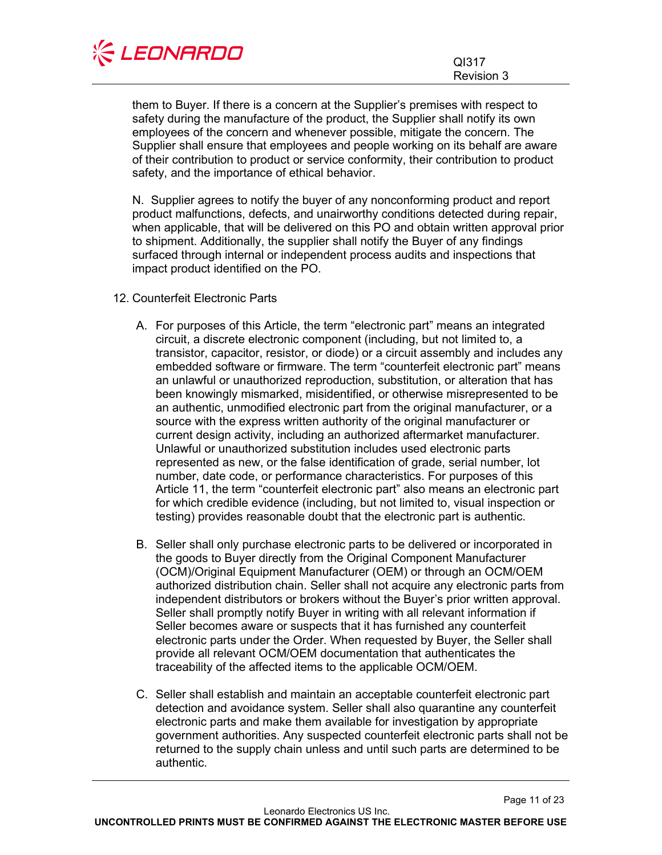

them to Buyer. If there is a concern at the Supplier's premises with respect to safety during the manufacture of the product, the Supplier shall notify its own employees of the concern and whenever possible, mitigate the concern. The Supplier shall ensure that employees and people working on its behalf are aware of their contribution to product or service conformity, their contribution to product safety, and the importance of ethical behavior.

N. Supplier agrees to notify the buyer of any nonconforming product and report product malfunctions, defects, and unairworthy conditions detected during repair, when applicable, that will be delivered on this PO and obtain written approval prior to shipment. Additionally, the supplier shall notify the Buyer of any findings surfaced through internal or independent process audits and inspections that impact product identified on the PO.

- <span id="page-10-0"></span>12. Counterfeit Electronic Parts
	- A. For purposes of this Article, the term "electronic part" means an integrated circuit, a discrete electronic component (including, but not limited to, a transistor, capacitor, resistor, or diode) or a circuit assembly and includes any embedded software or firmware. The term "counterfeit electronic part" means an unlawful or unauthorized reproduction, substitution, or alteration that has been knowingly mismarked, misidentified, or otherwise misrepresented to be an authentic, unmodified electronic part from the original manufacturer, or a source with the express written authority of the original manufacturer or current design activity, including an authorized aftermarket manufacturer. Unlawful or unauthorized substitution includes used electronic parts represented as new, or the false identification of grade, serial number, lot number, date code, or performance characteristics. For purposes of this Article 11, the term "counterfeit electronic part" also means an electronic part for which credible evidence (including, but not limited to, visual inspection or testing) provides reasonable doubt that the electronic part is authentic.
	- B. Seller shall only purchase electronic parts to be delivered or incorporated in the goods to Buyer directly from the Original Component Manufacturer (OCM)/Original Equipment Manufacturer (OEM) or through an OCM/OEM authorized distribution chain. Seller shall not acquire any electronic parts from independent distributors or brokers without the Buyer's prior written approval. Seller shall promptly notify Buyer in writing with all relevant information if Seller becomes aware or suspects that it has furnished any counterfeit electronic parts under the Order. When requested by Buyer, the Seller shall provide all relevant OCM/OEM documentation that authenticates the traceability of the affected items to the applicable OCM/OEM.
	- C. Seller shall establish and maintain an acceptable counterfeit electronic part detection and avoidance system. Seller shall also quarantine any counterfeit electronic parts and make them available for investigation by appropriate government authorities. Any suspected counterfeit electronic parts shall not be returned to the supply chain unless and until such parts are determined to be authentic.

Page 11 of 23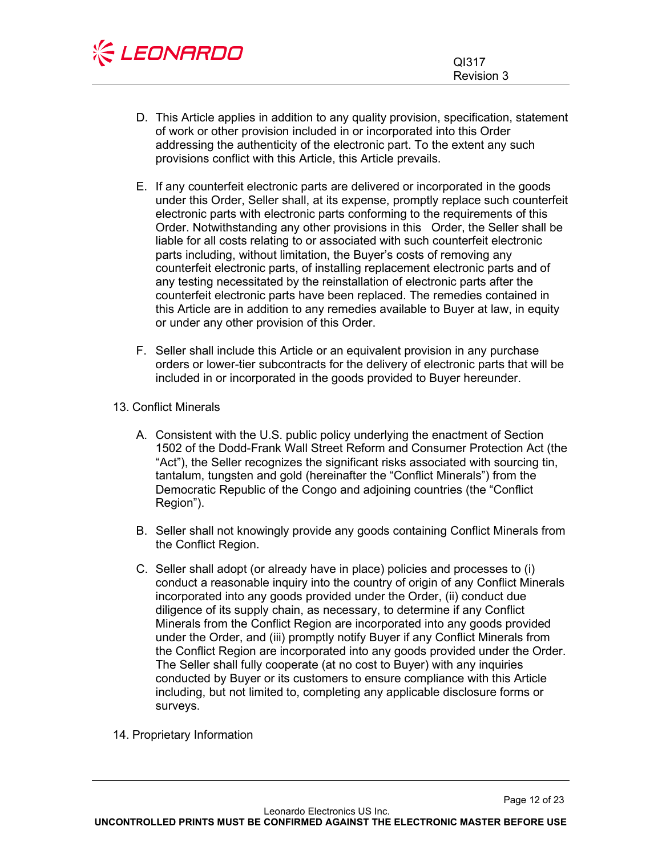

- D. This Article applies in addition to any quality provision, specification, statement of work or other provision included in or incorporated into this Order addressing the authenticity of the electronic part. To the extent any such provisions conflict with this Article, this Article prevails.
- E. If any counterfeit electronic parts are delivered or incorporated in the goods under this Order, Seller shall, at its expense, promptly replace such counterfeit electronic parts with electronic parts conforming to the requirements of this Order. Notwithstanding any other provisions in this Order, the Seller shall be liable for all costs relating to or associated with such counterfeit electronic parts including, without limitation, the Buyer's costs of removing any counterfeit electronic parts, of installing replacement electronic parts and of any testing necessitated by the reinstallation of electronic parts after the counterfeit electronic parts have been replaced. The remedies contained in this Article are in addition to any remedies available to Buyer at law, in equity or under any other provision of this Order.
- F. Seller shall include this Article or an equivalent provision in any purchase orders or lower-tier subcontracts for the delivery of electronic parts that will be included in or incorporated in the goods provided to Buyer hereunder.
- <span id="page-11-0"></span>13. Conflict Minerals
	- A. Consistent with the U.S. public policy underlying the enactment of Section 1502 of the Dodd-Frank Wall Street Reform and Consumer Protection Act (the "Act"), the Seller recognizes the significant risks associated with sourcing tin, tantalum, tungsten and gold (hereinafter the "Conflict Minerals") from the Democratic Republic of the Congo and adjoining countries (the "Conflict Region").
	- B. Seller shall not knowingly provide any goods containing Conflict Minerals from the Conflict Region.
	- C. Seller shall adopt (or already have in place) policies and processes to (i) conduct a reasonable inquiry into the country of origin of any Conflict Minerals incorporated into any goods provided under the Order, (ii) conduct due diligence of its supply chain, as necessary, to determine if any Conflict Minerals from the Conflict Region are incorporated into any goods provided under the Order, and (iii) promptly notify Buyer if any Conflict Minerals from the Conflict Region are incorporated into any goods provided under the Order. The Seller shall fully cooperate (at no cost to Buyer) with any inquiries conducted by Buyer or its customers to ensure compliance with this Article including, but not limited to, completing any applicable disclosure forms or surveys.
- <span id="page-11-1"></span>14. Proprietary Information

Page 12 of 23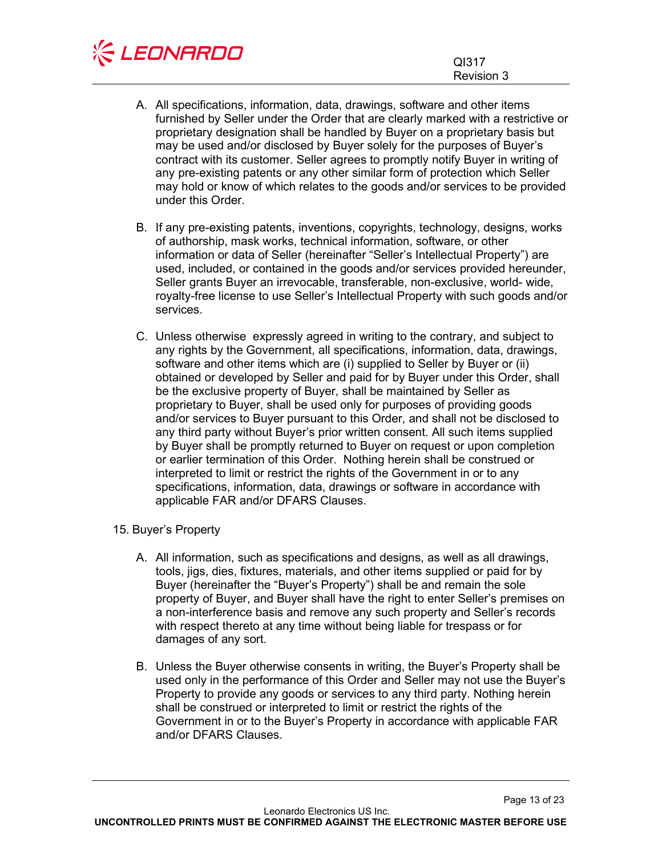

- A. All specifications, information, data, drawings, software and other items furnished by Seller under the Order that are clearly marked with a restrictive or proprietary designation shall be handled by Buyer on a proprietary basis but may be used and/or disclosed by Buyer solely for the purposes of Buyer's contract with its customer. Seller agrees to promptly notify Buyer in writing of any pre-existing patents or any other similar form of protection which Seller may hold or know of which relates to the goods and/or services to be provided under this Order.
- B. If any pre-existing patents, inventions, copyrights, technology, designs, works of authorship, mask works, technical information, software, or other information or data of Seller (hereinafter "Seller's Intellectual Property") are used, included, or contained in the goods and/or services provided hereunder, Seller grants Buyer an irrevocable, transferable, non-exclusive, world- wide, royalty-free license to use Seller's Intellectual Property with such goods and/or services.
- C. Unless otherwise expressly agreed in writing to the contrary, and subject to any rights by the Government, all specifications, information, data, drawings, software and other items which are (i) supplied to Seller by Buyer or (ii) obtained or developed by Seller and paid for by Buyer under this Order, shall be the exclusive property of Buyer, shall be maintained by Seller as proprietary to Buyer, shall be used only for purposes of providing goods and/or services to Buyer pursuant to this Order, and shall not be disclosed to any third party without Buyer's prior written consent. All such items supplied by Buyer shall be promptly returned to Buyer on request or upon completion or earlier termination of this Order. Nothing herein shall be construed or interpreted to limit or restrict the rights of the Government in or to any specifications, information, data, drawings or software in accordance with applicable FAR and/or DFARS Clauses.

# <span id="page-12-0"></span>15. Buyer's Property

- A. All information, such as specifications and designs, as well as all drawings, tools, jigs, dies, fixtures, materials, and other items supplied or paid for by Buyer (hereinafter the "Buyer's Property") shall be and remain the sole property of Buyer, and Buyer shall have the right to enter Seller's premises on a non-interference basis and remove any such property and Seller's records with respect thereto at any time without being liable for trespass or for damages of any sort.
- B. Unless the Buyer otherwise consents in writing, the Buyer's Property shall be used only in the performance of this Order and Seller may not use the Buyer's Property to provide any goods or services to any third party. Nothing herein shall be construed or interpreted to limit or restrict the rights of the Government in or to the Buyer's Property in accordance with applicable FAR and/or DFARS Clauses.

Page 13 of 23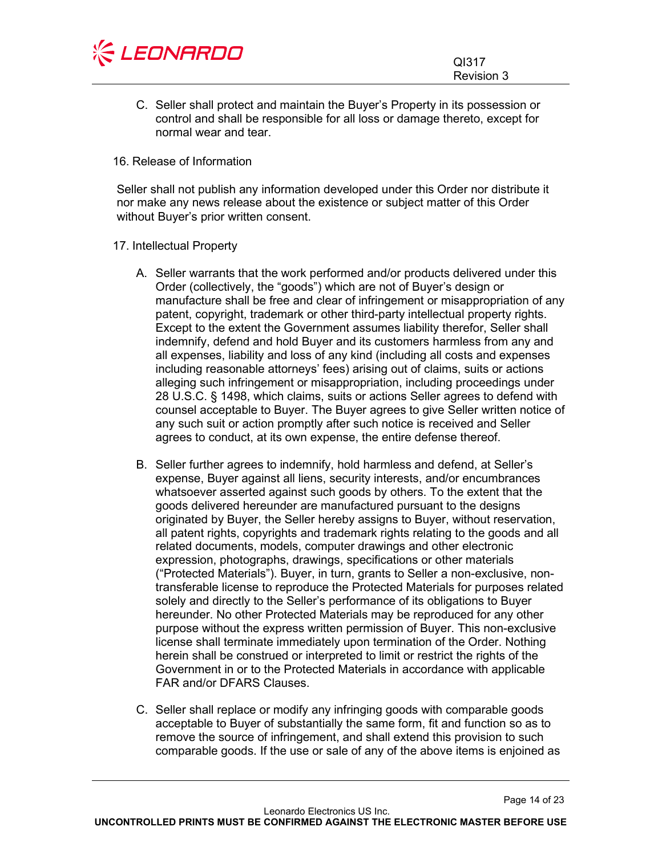

C. Seller shall protect and maintain the Buyer's Property in its possession or control and shall be responsible for all loss or damage thereto, except for normal wear and tear.

#### <span id="page-13-0"></span>16. Release of Information

Seller shall not publish any information developed under this Order nor distribute it nor make any news release about the existence or subject matter of this Order without Buyer's prior written consent.

#### <span id="page-13-1"></span>17. Intellectual Property

- A. Seller warrants that the work performed and/or products delivered under this Order (collectively, the "goods") which are not of Buyer's design or manufacture shall be free and clear of infringement or misappropriation of any patent, copyright, trademark or other third-party intellectual property rights. Except to the extent the Government assumes liability therefor, Seller shall indemnify, defend and hold Buyer and its customers harmless from any and all expenses, liability and loss of any kind (including all costs and expenses including reasonable attorneys' fees) arising out of claims, suits or actions alleging such infringement or misappropriation, including proceedings under 28 U.S.C. § 1498, which claims, suits or actions Seller agrees to defend with counsel acceptable to Buyer. The Buyer agrees to give Seller written notice of any such suit or action promptly after such notice is received and Seller agrees to conduct, at its own expense, the entire defense thereof.
- B. Seller further agrees to indemnify, hold harmless and defend, at Seller's expense, Buyer against all liens, security interests, and/or encumbrances whatsoever asserted against such goods by others. To the extent that the goods delivered hereunder are manufactured pursuant to the designs originated by Buyer, the Seller hereby assigns to Buyer, without reservation, all patent rights, copyrights and trademark rights relating to the goods and all related documents, models, computer drawings and other electronic expression, photographs, drawings, specifications or other materials ("Protected Materials"). Buyer, in turn, grants to Seller a non-exclusive, nontransferable license to reproduce the Protected Materials for purposes related solely and directly to the Seller's performance of its obligations to Buyer hereunder. No other Protected Materials may be reproduced for any other purpose without the express written permission of Buyer. This non-exclusive license shall terminate immediately upon termination of the Order. Nothing herein shall be construed or interpreted to limit or restrict the rights of the Government in or to the Protected Materials in accordance with applicable FAR and/or DFARS Clauses.
- C. Seller shall replace or modify any infringing goods with comparable goods acceptable to Buyer of substantially the same form, fit and function so as to remove the source of infringement, and shall extend this provision to such comparable goods. If the use or sale of any of the above items is enjoined as

Page 14 of 23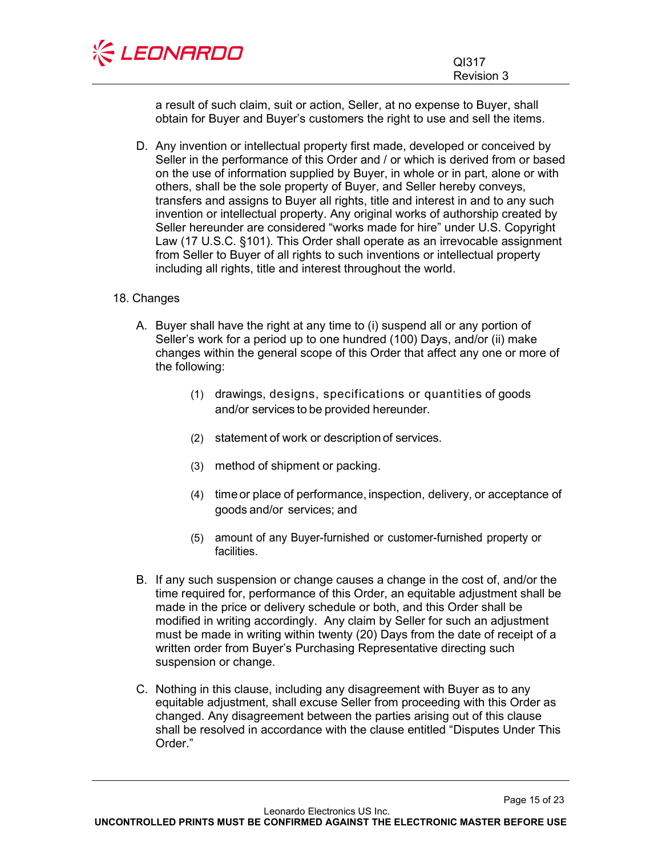

a result of such claim, suit or action, Seller, at no expense to Buyer, shall obtain for Buyer and Buyer's customers the right to use and sell the items.

D. Any invention or intellectual property first made, developed or conceived by Seller in the performance of this Order and / or which is derived from or based on the use of information supplied by Buyer, in whole or in part, alone or with others, shall be the sole property of Buyer, and Seller hereby conveys, transfers and assigns to Buyer all rights, title and interest in and to any such invention or intellectual property. Any original works of authorship created by Seller hereunder are considered "works made for hire" under U.S. Copyright Law (17 U.S.C. §101). This Order shall operate as an irrevocable assignment from Seller to Buyer of all rights to such inventions or intellectual property including all rights, title and interest throughout the world.

# <span id="page-14-0"></span>18. Changes

- A. Buyer shall have the right at any time to (i) suspend all or any portion of Seller's work for a period up to one hundred (100) Days, and/or (ii) make changes within the general scope of this Order that affect any one or more of the following:
	- (1) drawings, designs, specifications or quantities of goods and/or services to be provided hereunder.
	- (2) statement of work or description of services.
	- (3) method of shipment or packing.
	- (4) time or place of performance, inspection, delivery, or acceptance of goods and/or services; and
	- (5) amount of any Buyer-furnished or customer-furnished property or facilities.
- B. If any such suspension or change causes a change in the cost of, and/or the time required for, performance of this Order, an equitable adjustment shall be made in the price or delivery schedule or both, and this Order shall be modified in writing accordingly. Any claim by Seller for such an adjustment must be made in writing within twenty (20) Days from the date of receipt of a written order from Buyer's Purchasing Representative directing such suspension or change.
- C. Nothing in this clause, including any disagreement with Buyer as to any equitable adjustment, shall excuse Seller from proceeding with this Order as changed. Any disagreement between the parties arising out of this clause shall be resolved in accordance with the clause entitled "Disputes Under This Order."

Page 15 of 23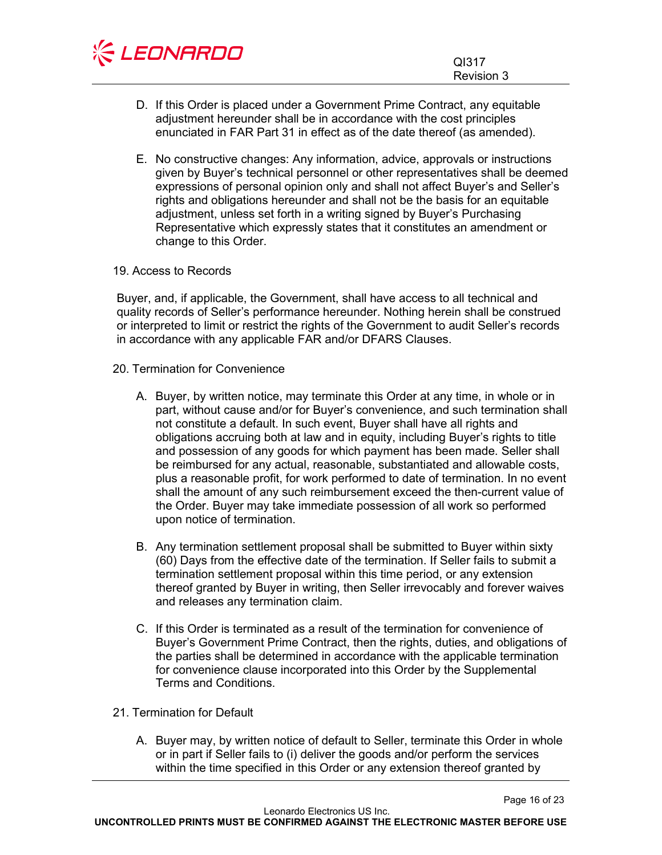| <b>KEONARDO</b> |            |
|-----------------|------------|
|                 | QI317      |
|                 | Revision 3 |

- D. If this Order is placed under a Government Prime Contract, any equitable adjustment hereunder shall be in accordance with the cost principles enunciated in FAR Part 31 in effect as of the date thereof (as amended).
- E. No constructive changes: Any information, advice, approvals or instructions given by Buyer's technical personnel or other representatives shall be deemed expressions of personal opinion only and shall not affect Buyer's and Seller's rights and obligations hereunder and shall not be the basis for an equitable adjustment, unless set forth in a writing signed by Buyer's Purchasing Representative which expressly states that it constitutes an amendment or change to this Order.

# <span id="page-15-0"></span>19. Access to Records

Buyer, and, if applicable, the Government, shall have access to all technical and quality records of Seller's performance hereunder. Nothing herein shall be construed or interpreted to limit or restrict the rights of the Government to audit Seller's records in accordance with any applicable FAR and/or DFARS Clauses.

- <span id="page-15-1"></span>20. Termination for Convenience
	- A. Buyer, by written notice, may terminate this Order at any time, in whole or in part, without cause and/or for Buyer's convenience, and such termination shall not constitute a default. In such event, Buyer shall have all rights and obligations accruing both at law and in equity, including Buyer's rights to title and possession of any goods for which payment has been made. Seller shall be reimbursed for any actual, reasonable, substantiated and allowable costs, plus a reasonable profit, for work performed to date of termination. In no event shall the amount of any such reimbursement exceed the then-current value of the Order. Buyer may take immediate possession of all work so performed upon notice of termination.
	- B. Any termination settlement proposal shall be submitted to Buyer within sixty (60) Days from the effective date of the termination. If Seller fails to submit a termination settlement proposal within this time period, or any extension thereof granted by Buyer in writing, then Seller irrevocably and forever waives and releases any termination claim.
	- C. If this Order is terminated as a result of the termination for convenience of Buyer's Government Prime Contract, then the rights, duties, and obligations of the parties shall be determined in accordance with the applicable termination for convenience clause incorporated into this Order by the Supplemental Terms and Conditions.
- <span id="page-15-2"></span>21. Termination for Default
	- A. Buyer may, by written notice of default to Seller, terminate this Order in whole or in part if Seller fails to (i) deliver the goods and/or perform the services within the time specified in this Order or any extension thereof granted by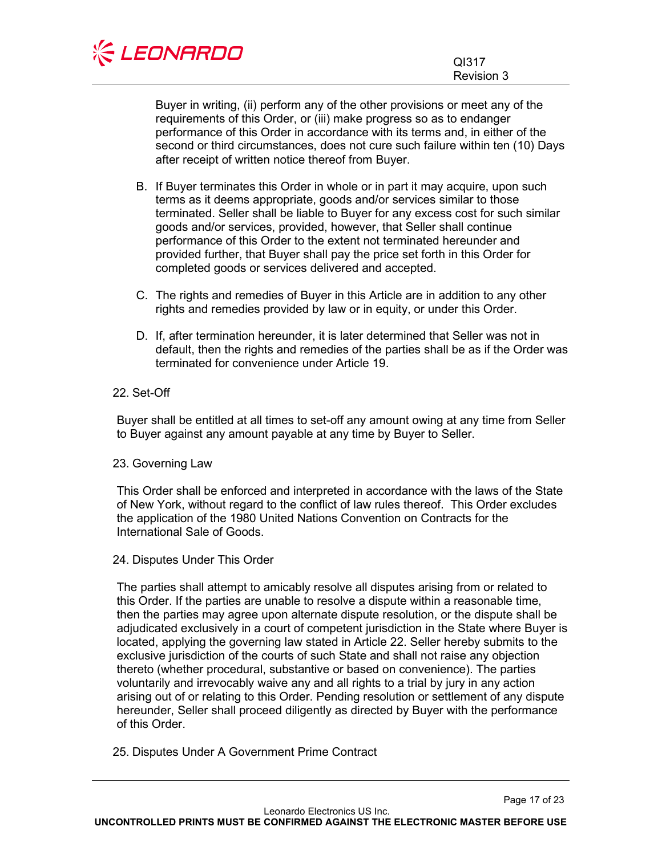

Buyer in writing, (ii) perform any of the other provisions or meet any of the requirements of this Order, or (iii) make progress so as to endanger performance of this Order in accordance with its terms and, in either of the second or third circumstances, does not cure such failure within ten (10) Days after receipt of written notice thereof from Buyer.

- B. If Buyer terminates this Order in whole or in part it may acquire, upon such terms as it deems appropriate, goods and/or services similar to those terminated. Seller shall be liable to Buyer for any excess cost for such similar goods and/or services, provided, however, that Seller shall continue performance of this Order to the extent not terminated hereunder and provided further, that Buyer shall pay the price set forth in this Order for completed goods or services delivered and accepted.
- C. The rights and remedies of Buyer in this Article are in addition to any other rights and remedies provided by law or in equity, or under this Order.
- D. If, after termination hereunder, it is later determined that Seller was not in default, then the rights and remedies of the parties shall be as if the Order was terminated for convenience under Article 19.

# <span id="page-16-0"></span>22. Set-Off

Buyer shall be entitled at all times to set-off any amount owing at any time from Seller to Buyer against any amount payable at any time by Buyer to Seller.

#### <span id="page-16-1"></span>23. Governing Law

This Order shall be enforced and interpreted in accordance with the laws of the State of New York, without regard to the conflict of law rules thereof. This Order excludes the application of the 1980 United Nations Convention on Contracts for the International Sale of Goods.

#### <span id="page-16-2"></span>24. Disputes Under This Order

The parties shall attempt to amicably resolve all disputes arising from or related to this Order. If the parties are unable to resolve a dispute within a reasonable time, then the parties may agree upon alternate dispute resolution, or the dispute shall be adjudicated exclusively in a court of competent jurisdiction in the State where Buyer is located, applying the governing law stated in Article 22. Seller hereby submits to the exclusive jurisdiction of the courts of such State and shall not raise any objection thereto (whether procedural, substantive or based on convenience). The parties voluntarily and irrevocably waive any and all rights to a trial by jury in any action arising out of or relating to this Order. Pending resolution or settlement of any dispute hereunder, Seller shall proceed diligently as directed by Buyer with the performance of this Order.

<span id="page-16-3"></span>25. Disputes Under A Government Prime Contract

Page 17 of 23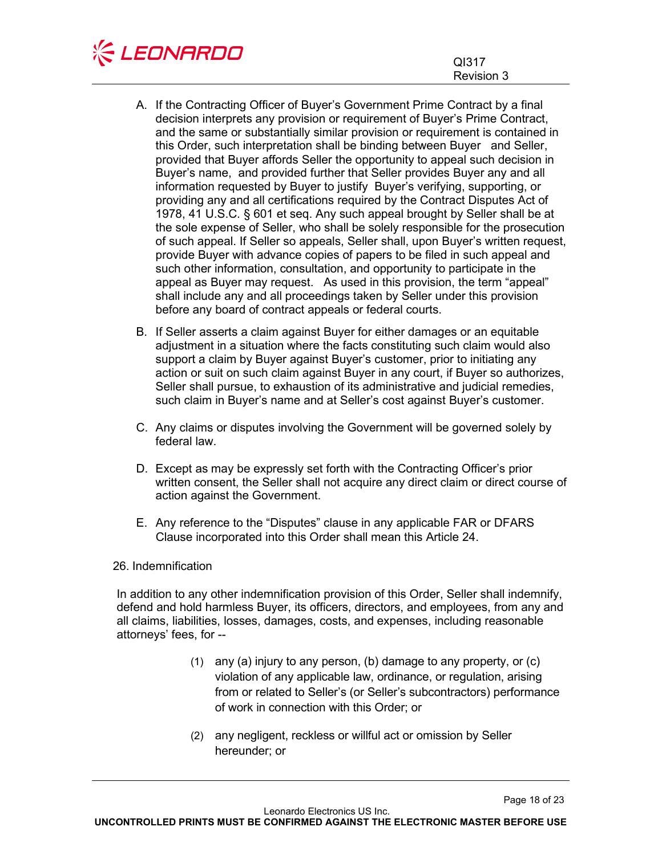

- A. If the Contracting Officer of Buyer's Government Prime Contract by a final decision interprets any provision or requirement of Buyer's Prime Contract, and the same or substantially similar provision or requirement is contained in this Order, such interpretation shall be binding between Buyer and Seller, provided that Buyer affords Seller the opportunity to appeal such decision in Buyer's name, and provided further that Seller provides Buyer any and all information requested by Buyer to justify Buyer's verifying, supporting, or providing any and all certifications required by the Contract Disputes Act of 1978, 41 U.S.C. § 601 et seq. Any such appeal brought by Seller shall be at the sole expense of Seller, who shall be solely responsible for the prosecution of such appeal. If Seller so appeals, Seller shall, upon Buyer's written request, provide Buyer with advance copies of papers to be filed in such appeal and such other information, consultation, and opportunity to participate in the appeal as Buyer may request. As used in this provision, the term "appeal" shall include any and all proceedings taken by Seller under this provision before any board of contract appeals or federal courts.
- B. If Seller asserts a claim against Buyer for either damages or an equitable adjustment in a situation where the facts constituting such claim would also support a claim by Buyer against Buyer's customer, prior to initiating any action or suit on such claim against Buyer in any court, if Buyer so authorizes, Seller shall pursue, to exhaustion of its administrative and judicial remedies, such claim in Buyer's name and at Seller's cost against Buyer's customer.
- C. Any claims or disputes involving the Government will be governed solely by federal law.
- D. Except as may be expressly set forth with the Contracting Officer's prior written consent, the Seller shall not acquire any direct claim or direct course of action against the Government.
- E. Any reference to the "Disputes" clause in any applicable FAR or DFARS Clause incorporated into this Order shall mean this Article 24.

#### <span id="page-17-0"></span>26. Indemnification

In addition to any other indemnification provision of this Order, Seller shall indemnify, defend and hold harmless Buyer, its officers, directors, and employees, from any and all claims, liabilities, losses, damages, costs, and expenses, including reasonable attorneys' fees, for --

- (1) any (a) injury to any person, (b) damage to any property, or (c) violation of any applicable law, ordinance, or regulation, arising from or related to Seller's (or Seller's subcontractors) performance of work in connection with this Order; or
- (2) any negligent, reckless or willful act or omission by Seller hereunder; or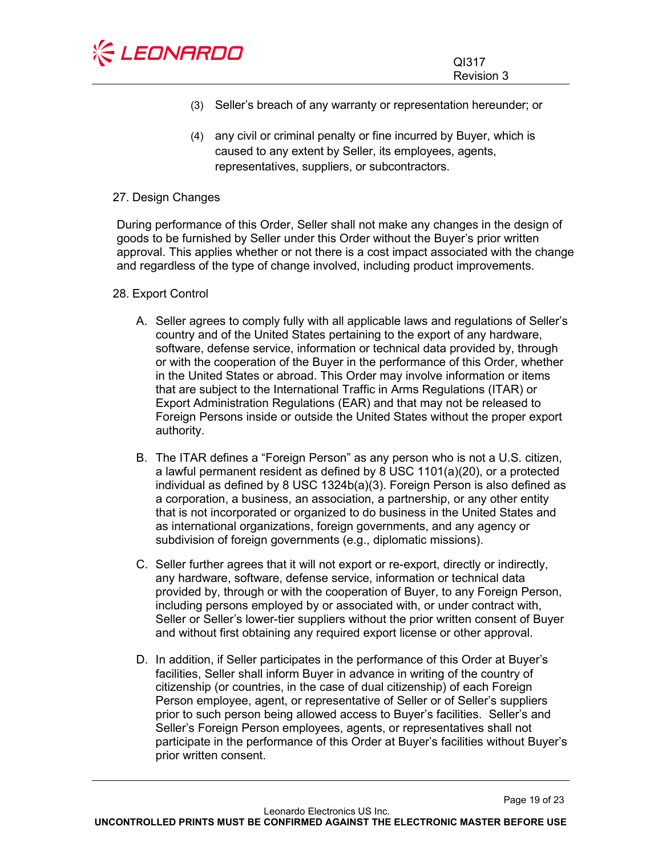

- (3) Seller's breach of any warranty or representation hereunder; or
- (4) any civil or criminal penalty or fine incurred by Buyer, which is caused to any extent by Seller, its employees, agents, representatives, suppliers, or subcontractors.

### <span id="page-18-0"></span>27. Design Changes

During performance of this Order, Seller shall not make any changes in the design of goods to be furnished by Seller under this Order without the Buyer's prior written approval. This applies whether or not there is a cost impact associated with the change and regardless of the type of change involved, including product improvements.

# <span id="page-18-1"></span>28. Export Control

- A. Seller agrees to comply fully with all applicable laws and regulations of Seller's country and of the United States pertaining to the export of any hardware, software, defense service, information or technical data provided by, through or with the cooperation of the Buyer in the performance of this Order, whether in the United States or abroad. This Order may involve information or items that are subject to the International Traffic in Arms Regulations (ITAR) or Export Administration Regulations (EAR) and that may not be released to Foreign Persons inside or outside the United States without the proper export authority.
- B. The ITAR defines a "Foreign Person" as any person who is not a U.S. citizen, a lawful permanent resident as defined by 8 USC 1101(a)(20), or a protected individual as defined by 8 USC 1324b(a)(3). Foreign Person is also defined as a corporation, a business, an association, a partnership, or any other entity that is not incorporated or organized to do business in the United States and as international organizations, foreign governments, and any agency or subdivision of foreign governments (e.g., diplomatic missions).
- C. Seller further agrees that it will not export or re-export, directly or indirectly, any hardware, software, defense service, information or technical data provided by, through or with the cooperation of Buyer, to any Foreign Person, including persons employed by or associated with, or under contract with, Seller or Seller's lower-tier suppliers without the prior written consent of Buyer and without first obtaining any required export license or other approval.
- D. In addition, if Seller participates in the performance of this Order at Buyer's facilities, Seller shall inform Buyer in advance in writing of the country of citizenship (or countries, in the case of dual citizenship) of each Foreign Person employee, agent, or representative of Seller or of Seller's suppliers prior to such person being allowed access to Buyer's facilities. Seller's and Seller's Foreign Person employees, agents, or representatives shall not participate in the performance of this Order at Buyer's facilities without Buyer's prior written consent.

Page 19 of 23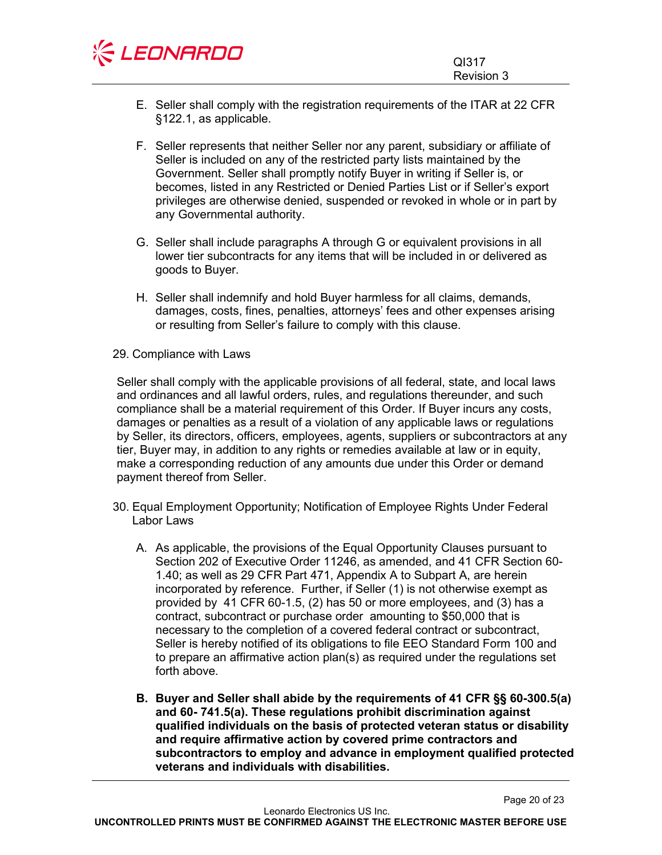

- E. Seller shall comply with the registration requirements of the ITAR at 22 CFR §122.1, as applicable.
- F. Seller represents that neither Seller nor any parent, subsidiary or affiliate of Seller is included on any of the restricted party lists maintained by the Government. Seller shall promptly notify Buyer in writing if Seller is, or becomes, listed in any Restricted or Denied Parties List or if Seller's export privileges are otherwise denied, suspended or revoked in whole or in part by any Governmental authority.
- G. Seller shall include paragraphs A through G or equivalent provisions in all lower tier subcontracts for any items that will be included in or delivered as goods to Buyer.
- H. Seller shall indemnify and hold Buyer harmless for all claims, demands, damages, costs, fines, penalties, attorneys' fees and other expenses arising or resulting from Seller's failure to comply with this clause.
- <span id="page-19-0"></span>29. Compliance with Laws

Seller shall comply with the applicable provisions of all federal, state, and local laws and ordinances and all lawful orders, rules, and regulations thereunder, and such compliance shall be a material requirement of this Order. If Buyer incurs any costs, damages or penalties as a result of a violation of any applicable laws or regulations by Seller, its directors, officers, employees, agents, suppliers or subcontractors at any tier, Buyer may, in addition to any rights or remedies available at law or in equity, make a corresponding reduction of any amounts due under this Order or demand payment thereof from Seller.

- <span id="page-19-1"></span>30. Equal Employment Opportunity; Notification of Employee Rights Under Federal Labor Laws
	- A. As applicable, the provisions of the Equal Opportunity Clauses pursuant to Section 202 of Executive Order 11246, as amended, and 41 CFR Section 60- 1.40; as well as 29 CFR Part 471, Appendix A to Subpart A, are herein incorporated by reference. Further, if Seller (1) is not otherwise exempt as provided by 41 CFR 60-1.5, (2) has 50 or more employees, and (3) has a contract, subcontract or purchase order amounting to \$50,000 that is necessary to the completion of a covered federal contract or subcontract, Seller is hereby notified of its obligations to file EEO Standard Form 100 and to prepare an affirmative action plan(s) as required under the regulations set forth above.
	- **B. Buyer and Seller shall abide by the requirements of 41 CFR §§ 60-300.5(a) and 60- 741.5(a). These regulations prohibit discrimination against qualified individuals on the basis of protected veteran status or disability and require affirmative action by covered prime contractors and subcontractors to employ and advance in employment qualified protected veterans and individuals with disabilities.**

**UNCONTROLLED PRINTS MUST BE CONFIRMED AGAINST THE ELECTRONIC MASTER BEFORE USE**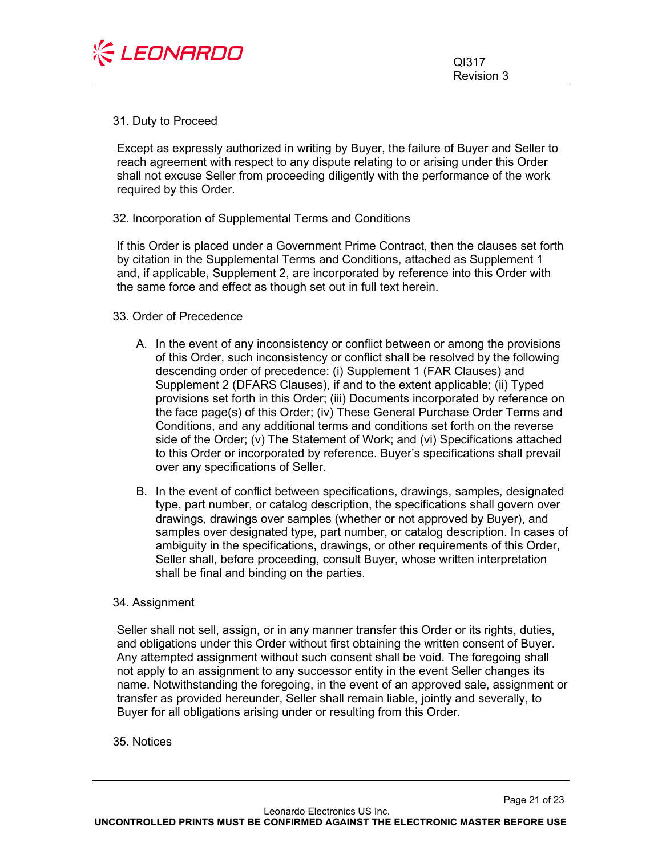

Page 21 of 23

#### <span id="page-20-0"></span>31. Duty to Proceed

Except as expressly authorized in writing by Buyer, the failure of Buyer and Seller to reach agreement with respect to any dispute relating to or arising under this Order shall not excuse Seller from proceeding diligently with the performance of the work required by this Order.

### <span id="page-20-1"></span>32. Incorporation of Supplemental Terms and Conditions

If this Order is placed under a Government Prime Contract, then the clauses set forth by citation in the Supplemental Terms and Conditions, attached as Supplement 1 and, if applicable, Supplement 2, are incorporated by reference into this Order with the same force and effect as though set out in full text herein.

#### <span id="page-20-2"></span>33. Order of Precedence

- A. In the event of any inconsistency or conflict between or among the provisions of this Order, such inconsistency or conflict shall be resolved by the following descending order of precedence: (i) Supplement 1 (FAR Clauses) and Supplement 2 (DFARS Clauses), if and to the extent applicable; (ii) Typed provisions set forth in this Order; (iii) Documents incorporated by reference on the face page(s) of this Order; (iv) These General Purchase Order Terms and Conditions, and any additional terms and conditions set forth on the reverse side of the Order; (v) The Statement of Work; and (vi) Specifications attached to this Order or incorporated by reference. Buyer's specifications shall prevail over any specifications of Seller.
- B. In the event of conflict between specifications, drawings, samples, designated type, part number, or catalog description, the specifications shall govern over drawings, drawings over samples (whether or not approved by Buyer), and samples over designated type, part number, or catalog description. In cases of ambiguity in the specifications, drawings, or other requirements of this Order, Seller shall, before proceeding, consult Buyer, whose written interpretation shall be final and binding on the parties.

#### <span id="page-20-3"></span>34. Assignment

Seller shall not sell, assign, or in any manner transfer this Order or its rights, duties, and obligations under this Order without first obtaining the written consent of Buyer. Any attempted assignment without such consent shall be void. The foregoing shall not apply to an assignment to any successor entity in the event Seller changes its name. Notwithstanding the foregoing, in the event of an approved sale, assignment or transfer as provided hereunder, Seller shall remain liable, jointly and severally, to Buyer for all obligations arising under or resulting from this Order.

<span id="page-20-4"></span>35. Notices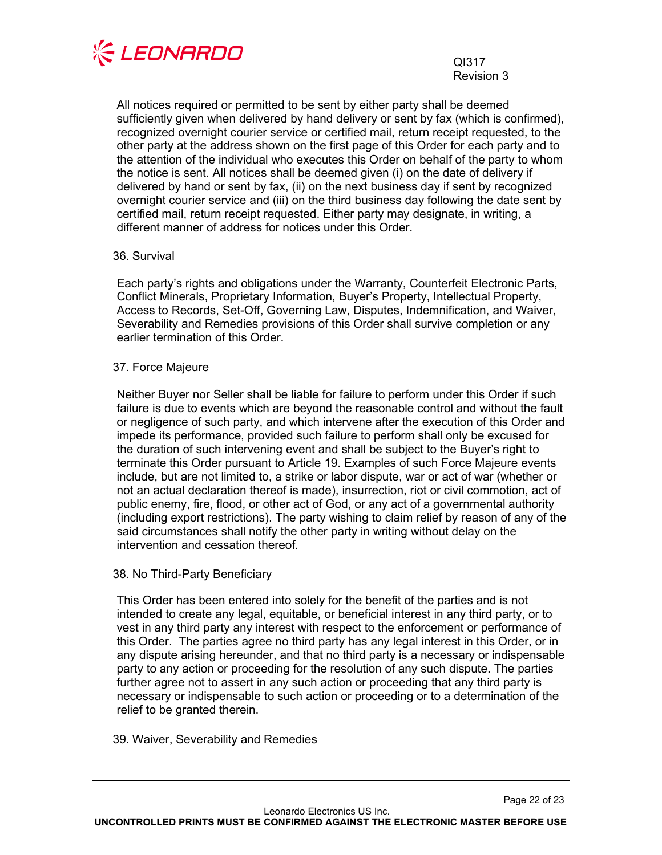

Page 22 of 23

All notices required or permitted to be sent by either party shall be deemed sufficiently given when delivered by hand delivery or sent by fax (which is confirmed), recognized overnight courier service or certified mail, return receipt requested, to the other party at the address shown on the first page of this Order for each party and to the attention of the individual who executes this Order on behalf of the party to whom the notice is sent. All notices shall be deemed given (i) on the date of delivery if delivered by hand or sent by fax, (ii) on the next business day if sent by recognized overnight courier service and (iii) on the third business day following the date sent by certified mail, return receipt requested. Either party may designate, in writing, a different manner of address for notices under this Order.

#### <span id="page-21-0"></span>36. Survival

Each party's rights and obligations under the Warranty, Counterfeit Electronic Parts, Conflict Minerals, Proprietary Information, Buyer's Property, Intellectual Property, Access to Records, Set-Off, Governing Law, Disputes, Indemnification, and Waiver, Severability and Remedies provisions of this Order shall survive completion or any earlier termination of this Order.

# <span id="page-21-1"></span>37. Force Majeure

Neither Buyer nor Seller shall be liable for failure to perform under this Order if such failure is due to events which are beyond the reasonable control and without the fault or negligence of such party, and which intervene after the execution of this Order and impede its performance, provided such failure to perform shall only be excused for the duration of such intervening event and shall be subject to the Buyer's right to terminate this Order pursuant to Article 19. Examples of such Force Majeure events include, but are not limited to, a strike or labor dispute, war or act of war (whether or not an actual declaration thereof is made), insurrection, riot or civil commotion, act of public enemy, fire, flood, or other act of God, or any act of a governmental authority (including export restrictions). The party wishing to claim relief by reason of any of the said circumstances shall notify the other party in writing without delay on the intervention and cessation thereof.

#### <span id="page-21-2"></span>38. No Third-Party Beneficiary

This Order has been entered into solely for the benefit of the parties and is not intended to create any legal, equitable, or beneficial interest in any third party, or to vest in any third party any interest with respect to the enforcement or performance of this Order. The parties agree no third party has any legal interest in this Order, or in any dispute arising hereunder, and that no third party is a necessary or indispensable party to any action or proceeding for the resolution of any such dispute. The parties further agree not to assert in any such action or proceeding that any third party is necessary or indispensable to such action or proceeding or to a determination of the relief to be granted therein.

<span id="page-21-3"></span>39. Waiver, Severability and Remedies